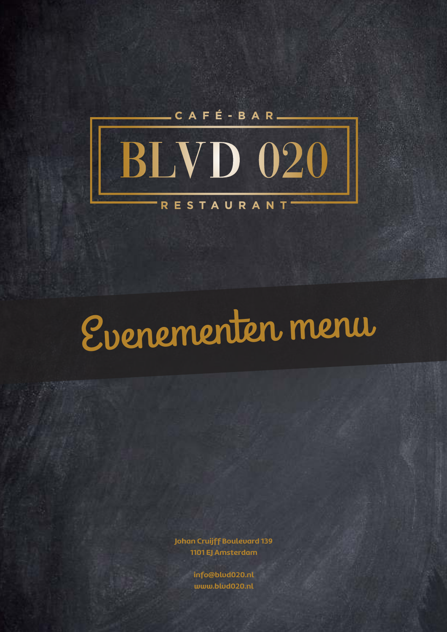

# Evenementen menu

**Johan Cruijff Boulevard 139 1101 EJ Amsterdam** 

> **info@blvd020.nl www.blvd020.nl**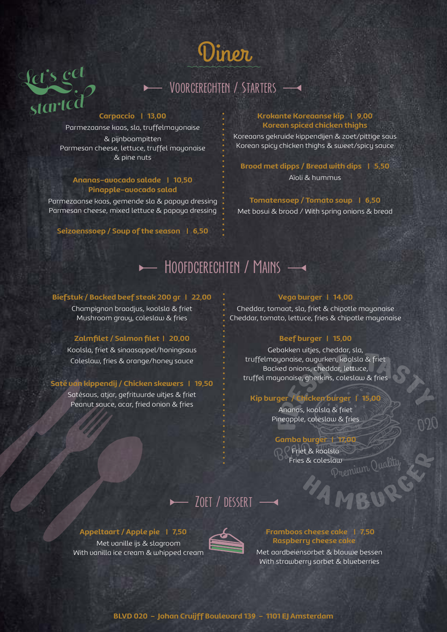

## Voorgerechten / Starters

### **Carpaccio | 13,00**

Let's get

started

Parmezaanse kaas, sla, truffelmayonaise & pijnboompitten Parmesan cheese, lettuce, truffel mayonaise & pine nuts

### **Ananas-avocado salade | 10,50 Pinapple-avocado salad**

Parmezaanse kaas, gemende sla & papaya dressing Parmesan cheese, mixed lettuce & papaya dressing

**Seizoenssoep / Soup of the season | 6,50**

### **Krokante Koreaanse kip | 9,00 Korean spiced chicken thighs**

Koreaans gekruide kippendijen & zoet/pittige saus Korean spicy chicken thighs & sweet/spicy sauce

**Brood met dipps / Bread with dips | 5,50** Aïoli & hummus

**Tomatensoep / Tomato soup | 6,50** Met bosui & brood / With spring onions & bread

## HOOFDGERECHTEN / MAINS -

### **Biefstuk / Backed beef steak 200 gr | 22,00**

Champignon braadjus, koolsla & friet Mushroom gravy, coleslaw & fries

### **Zalmfilet / Salmon filet | 20,00**

Koolsla, friet & sinaasappel/honingsaus Coleslaw, fries & orange/honey sauce

### **Saté van kippendij / Chicken skewers | 19,50**

Satésaus, atjar, gefrituurde uitjes & friet Peanut sauce, acar, fried onion & fries

### **Vega burger | 14,00**

Cheddar, tomaat, sla, friet & chipotle mayonaise Cheddar, tomato, lettuce, fries & chipotle mayonaise

### **Beef burger | 15,00**

Francisco Augurken, koolsla & friet<br>Red onions, cheddar, lettuce,<br>Sonaise, gherkins, coleslaw & fries<br>Sonaise, gherkins, coleslaw & fries<br>Sonaise, koolsla & friet<br>Ineapple, coleslaw & fries Gebakken uitjes, cheddar, sla, truffelmayonaise, augurken, koolsla & friet Backed onions, cheddar, lettuce, truffel mayonaise, gherkins, coleslaw & fries

### **Kip burger / Chicken burger | 15,00**

Ananas, koolsla & friet Pineapple, coleslaw & fries

### **Gamba burger | 17,00**

Relationship Quality **BLVD Friet & koolsla**<br>Fries & colesla Fries & coleslaw

020

### $\blacktriangleright$   $\overline{\blacktriangleright}$  zoet / dessert  $\overline{\blacktriangleright}$

### **Appeltaart / Apple pie | 7,50**

Met vanille ijs & slagroom With vanilla ice cream & whipped cream



### **Framboos cheese cake | 7,50 Raspberry cheese cake**

Met aardbeiensorbet & blauwe bessen With strawberry sorbet & blueberries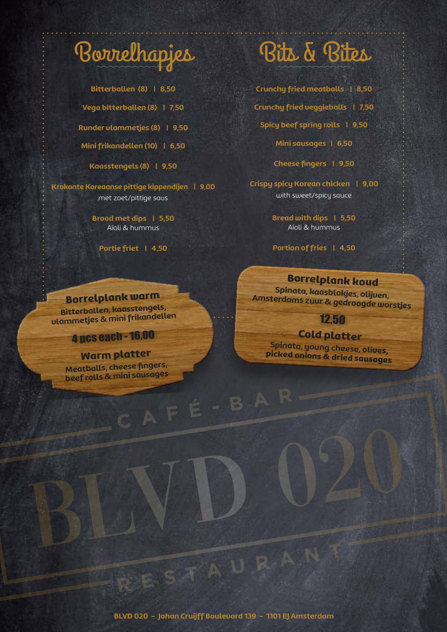

**Bitterballen (8) | 8,50 Vega bitterballen (8) | 7,50 Runder vlammetjes (8) | 9,50**

**Mini frikandellen (10) | 6,50**

**Kaasstengels (8) | 9,50**

**Krokante Koreaanse pittige kippendijen | 9,00** met zoet/pittige saus

> **Brood met dips | 5,50** Aïoli & hummus

**Portie friet | 4,50**

**Crunchy fried meatballs | 8,50 Crunchy fried veggieballs | 7,50 Spicy beef spring rolls | 9,50 Mini sausages | 6,50**

**Cheese fingers | 9,50**

**Crispy spicy Korean chicken | 9,00** with sweet/spicy sauce

> **Bread with dips | 5,50** Aïoli & hummus

> **Portion of fries | 4,50**

### Borrelplank koud

**Spinata, kaasblokjes, olijven, Amsterdams zuur & gedroogde worstjes** 

### 12,50

**Cold platter**<br>Spinato, young cheese, olives, picked onions & dried sausages

## **Borrelplank warm**<br>Bitterballen, kaasstengels,

**Bitterballen, kaasstengels, vlammetjes & mini frikandellen**

### 4 pcs each - 16,00

Warm platter<br>Meatballs, cheese fingers, **Meef rolls & mini sausages<br>
Market Finders, beef rolls & mini sausages<br>
Comparison of the comparison of the comparison of the comparison of the comparison of the comparison of the comparison of the comparison of the compa** 

ESTAURAN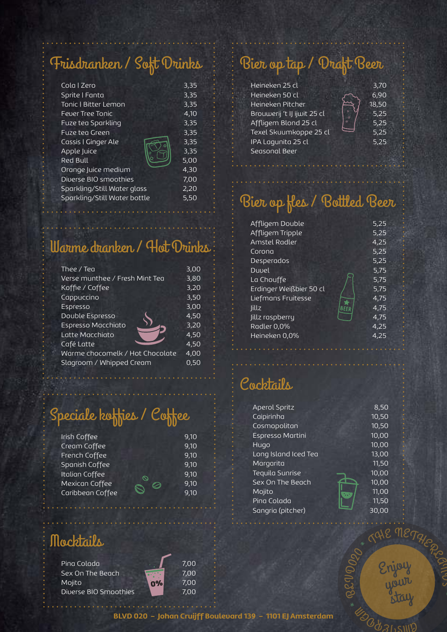## Frisdranken / Soft Drinks

| Cola I Zero                  | 3,35 |
|------------------------------|------|
| Sprite   Fanta               | 3,35 |
| <b>Tonic I Bitter Lemon</b>  | 3,35 |
| <b>Fever Tree Tonic</b>      | 4.10 |
| Fuze tea Sparkling           | 3,35 |
| Fuze tea Green               | 3,35 |
| Cassis   Ginger Ale          | 3,35 |
| Apple Juice                  | 3,35 |
| Red Bull                     | 5,00 |
| Orange Juice medium          | 4.30 |
| Diverse BIO smoothies        | 7.00 |
| Sparkling/Still Water glass  | 2,20 |
| Sparkling/Still Water bottle | 5,50 |
|                              |      |

## Warme dranken / Hot Drinks

| Thee / Tea                      | 3,00 |
|---------------------------------|------|
| Verse munthee / Fresh Mint Tea  | 3,80 |
|                                 |      |
| Koffie / Coffee                 | 3,20 |
| Cappuccino                      | 3,50 |
| Espresso                        | 3,00 |
|                                 |      |
| Double Espresso                 | 4.50 |
| <b>Espresso Macchiato</b>       | 3,20 |
|                                 |      |
| Latte Macchiato                 | 4.50 |
| Café Latte                      | 4,50 |
|                                 |      |
| Warme chocomelk / Hot Chocolate | 4,00 |
| Slagroom / Whipped Cream        | 0,50 |
|                                 |      |
|                                 |      |

## Speciale koffies / Coffee

| 9,10 |
|------|
| 9,10 |
| 9,10 |
| 9,10 |
| 9,10 |
| 9,10 |
| 9.10 |
| ∾    |

## Mocktails

Pina Colada 2,00 Sex On The Beach **1988** 7,00 Mojito **1999** 7,00 Diverse BIO Smoothies **1988** 7,00

## Bier op tap / Draft Beer

| Heineken 25 cl              |         | 3,70  |
|-----------------------------|---------|-------|
| Heineken 50 cl              |         | 6,90  |
| Heineken Pitcher            |         | 18,50 |
| Brouwerij 't IJ ijwit 25 cl |         | 5,25  |
| Affligem Blond 25 cl        | $\circ$ | 5,25  |
| Texel Skuumkoppe 25 cl      |         | 5,25  |
| IPA Lagunita 25 cl          |         | 5,25  |
| Seasonal Beer               |         |       |
|                             |         |       |

## Bier op fles / Bottled Beer

| Affligem Double         |             | 5,25 |
|-------------------------|-------------|------|
| Affligem Tripple        |             | 5,25 |
| Amstel Radler           |             | 4,25 |
| Corona                  |             | 5,25 |
| Desperados              |             | 5,25 |
| Duvel                   |             | 5,75 |
| La Chouffe              |             | 5,75 |
| Erdinger Weißbier 50 cl |             | 5,75 |
| Liefmans Fruitesse      |             | 4,75 |
| lillz                   | <b>BEFR</b> | 4.75 |
| Jillz raspberry         |             | 4.75 |
| Radler 0,0%             |             | 4,25 |
| Heineken 0,0%           |             | 4.25 |
|                         |             |      |

## Cocktails

| <b>Aperol Spritz</b> | 8,50  |
|----------------------|-------|
| Caipirinha           | 10,50 |
| Cosmopolitan         | 10,50 |
| Espresso Martini     | 10,00 |
| Hugo                 | 10,00 |
| Long Island Iced Tea | 13,00 |
| Margarita            | 11,50 |
| Tequila Sunrise      | 10,00 |
| Sex On The Beach     | 10,00 |
| Mojito<br>M.         | 11,00 |
| Pina Colada          | 11,50 |
| Sangria (pitcher)    | 30,00 |

Enjoy

TALE METALES

your stay

 $\mathcal{R}_{\mathcal{S}}$ 

\* UDO

BL  $\ominus$ 

 $D_{QO}$ 

 $QIII$ 

**BLVD 020 - Johan Cruijff Boulevard 139 - 1101 EJ Amsterdam**